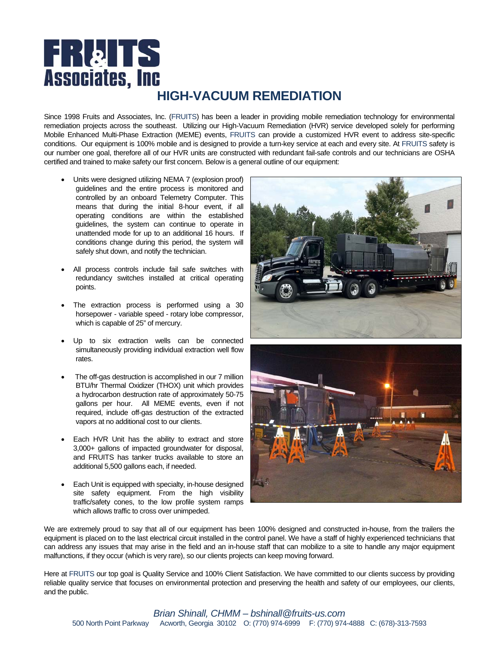# **FRATS Associates, Inc HIGH-VACUUM REMEDIATION**

Since 1998 Fruits and Associates, Inc. (FRUITS) has been a leader in providing mobile remediation technology for environmental remediation projects across the southeast. Utilizing our High-Vacuum Remediation (HVR) service developed solely for performing Mobile Enhanced Multi-Phase Extraction (MEME) events, FRUITS can provide a customized HVR event to address site-specific conditions. Our equipment is 100% mobile and is designed to provide a turn-key service at each and every site. At FRUITS safety is our number one goal, therefore all of our HVR units are constructed with redundant fail-safe controls and our technicians are OSHA certified and trained to make safety our first concern. Below is a general outline of our equipment:

- Units were designed utilizing NEMA 7 (explosion proof) guidelines and the entire process is monitored and controlled by an onboard Telemetry Computer. This means that during the initial 8-hour event, if all operating conditions are within the established guidelines, the system can continue to operate in unattended mode for up to an additional 16 hours. If conditions change during this period, the system will safely shut down, and notify the technician.
- All process controls include fail safe switches with redundancy switches installed at critical operating points.
- The extraction process is performed using a 30 horsepower - variable speed - rotary lobe compressor, which is capable of 25" of mercury.
- Up to six extraction wells can be connected simultaneously providing individual extraction well flow rates.
- The off-gas destruction is accomplished in our 7 million BTU/hr Thermal Oxidizer (THOX) unit which provides a hydrocarbon destruction rate of approximately 50-75 gallons per hour. All MEME events, even if not required, include off-gas destruction of the extracted vapors at no additional cost to our clients.
- Each HVR Unit has the ability to extract and store 3,000+ gallons of impacted groundwater for disposal, and FRUITS has tanker trucks available to store an additional 5,500 gallons each, if needed.
- Each Unit is equipped with specialty, in-house designed site safety equipment. From the high visibility traffic/safety cones, to the low profile system ramps which allows traffic to cross over unimpeded.





We are extremely proud to say that all of our equipment has been 100% designed and constructed in-house, from the trailers the equipment is placed on to the last electrical circuit installed in the control panel. We have a staff of highly experienced technicians that can address any issues that may arise in the field and an in-house staff that can mobilize to a site to handle any major equipment malfunctions, if they occur (which is very rare), so our clients projects can keep moving forward.

Here at FRUITS our top goal is Quality Service and 100% Client Satisfaction. We have committed to our clients success by providing reliable quality service that focuses on environmental protection and preserving the health and safety of our employees, our clients, and the public.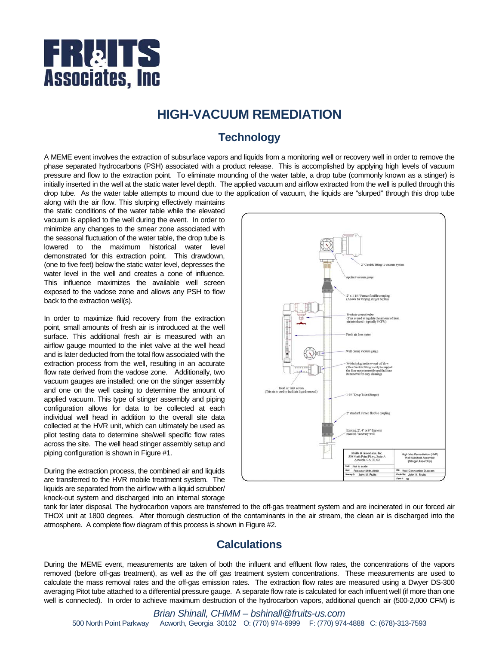

## **HIGH-VACUUM REMEDIATION**

## **Technology**

A MEME event involves the extraction of subsurface vapors and liquids from a monitoring well or recovery well in order to remove the phase separated hydrocarbons (PSH) associated with a product release. This is accomplished by applying high levels of vacuum pressure and flow to the extraction point. To eliminate mounding of the water table, a drop tube (commonly known as a stinger) is initially inserted in the well at the static water level depth. The applied vacuum and airflow extracted from the well is pulled through this drop tube. As the water table attempts to mound due to the application of vacuum, the liquids are "slurped" through this drop tube

along with the air flow. This slurping effectively maintains the static conditions of the water table while the elevated vacuum is applied to the well during the event. In order to minimize any changes to the smear zone associated with the seasonal fluctuation of the water table, the drop tube is lowered to the maximum historical water level demonstrated for this extraction point. This drawdown, (one to five feet) below the static water level, depresses the water level in the well and creates a cone of influence. This influence maximizes the available well screen exposed to the vadose zone and allows any PSH to flow back to the extraction well(s).

In order to maximize fluid recovery from the extraction point, small amounts of fresh air is introduced at the well surface. This additional fresh air is measured with an airflow gauge mounted to the inlet valve at the well head and is later deducted from the total flow associated with the extraction process from the well, resulting in an accurate flow rate derived from the vadose zone. Additionally, two vacuum gauges are installed; one on the stinger assembly and one on the well casing to determine the amount of applied vacuum. This type of stinger assembly and piping configuration allows for data to be collected at each individual well head in addition to the overall site data collected at the HVR unit, which can ultimately be used as pilot testing data to determine site/well specific flow rates across the site. The well head stinger assembly setup and piping configuration is shown in Figure #1.

During the extraction process, the combined air and liquids are transferred to the HVR mobile treatment system. The liquids are separated from the airflow with a liquid scrubber/ knock-out system and discharged into an internal storage



tank for later disposal. The hydrocarbon vapors are transferred to the off-gas treatment system and are incinerated in our forced air THOX unit at 1800 degrees. After thorough destruction of the contaminants in the air stream, the clean air is discharged into the atmosphere. A complete flow diagram of this process is shown in Figure #2.

### **Calculations**

During the MEME event, measurements are taken of both the influent and effluent flow rates, the concentrations of the vapors removed (before off-gas treatment), as well as the off gas treatment system concentrations. These measurements are used to calculate the mass removal rates and the off-gas emission rates. The extraction flow rates are measured using a Dwyer DS-300 averaging Pitot tube attached to a differential pressure gauge. A separate flow rate is calculated for each influent well (if more than one well is connected). In order to achieve maximum destruction of the hydrocarbon vapors, additional quench air (500-2,000 CFM) is

*Brian Shinall, CHMM – bshinall@fruits-us.com*  500 North Point Parkway Acworth, Georgia 30102 O: (770) 974-6999 F: (770) 974-4888 C: (678)-313-7593